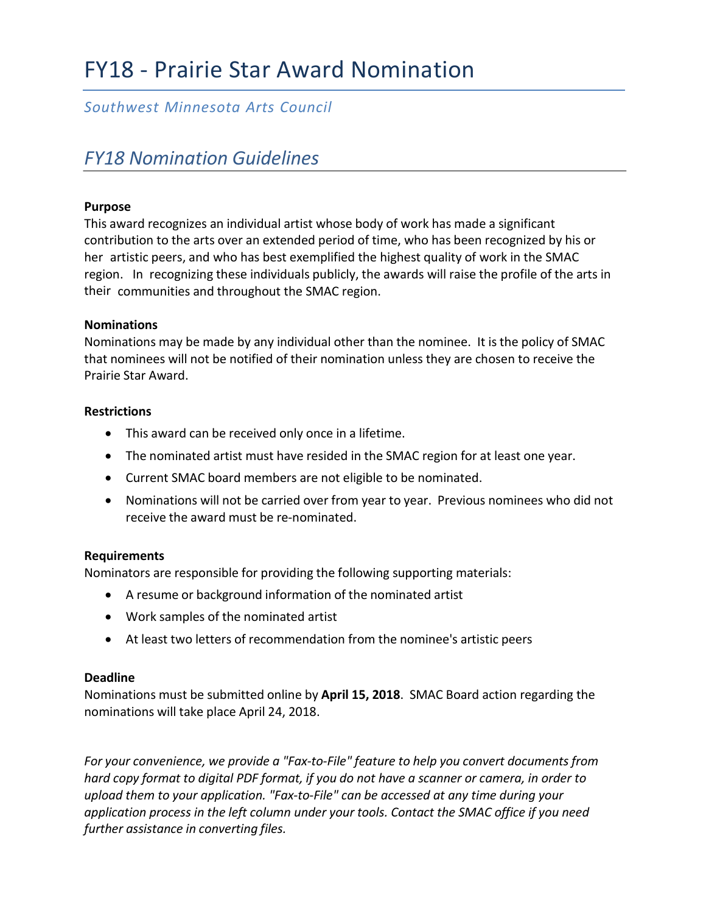# FY18 - Prairie Star Award Nomination

### *Southwest Minnesota Arts Council*

## *FY18 Nomination Guidelines*

### **Purpose**

This award recognizes an individual artist whose body of work has made a significant contribution to the arts over an extended period of time, who has been recognized by his or her artistic peers, and who has best exemplified the highest quality of work in the SMAC region. In recognizing these individuals publicly, the awards will raise the profile of the arts in their communities and throughout the SMAC region.

#### **Nominations**

Nominations may be made by any individual other than the nominee. It is the policy of SMAC that nominees will not be notified of their nomination unless they are chosen to receive the Prairie Star Award.

### **Restrictions**

- This award can be received only once in a lifetime.
- The nominated artist must have resided in the SMAC region for at least one year.
- Current SMAC board members are not eligible to be nominated.
- Nominations will not be carried over from year to year. Previous nominees who did not receive the award must be re-nominated.

#### **Requirements**

Nominators are responsible for providing the following supporting materials:

- A resume or background information of the nominated artist
- Work samples of the nominated artist
- At least two letters of recommendation from the nominee's artistic peers

#### **Deadline**

Nominations must be submitted online by **April 15, 2018**. SMAC Board action regarding the nominations will take place April 24, 2018.

*For your convenience, we provide a "Fax-to-File" feature to help you convert documents from hard copy format to digital PDF format, if you do not have a scanner or camera, in order to upload them to your application. "Fax-to-File" can be accessed at any time during your application process in the left column under your tools. Contact the SMAC office if you need further assistance in converting files.*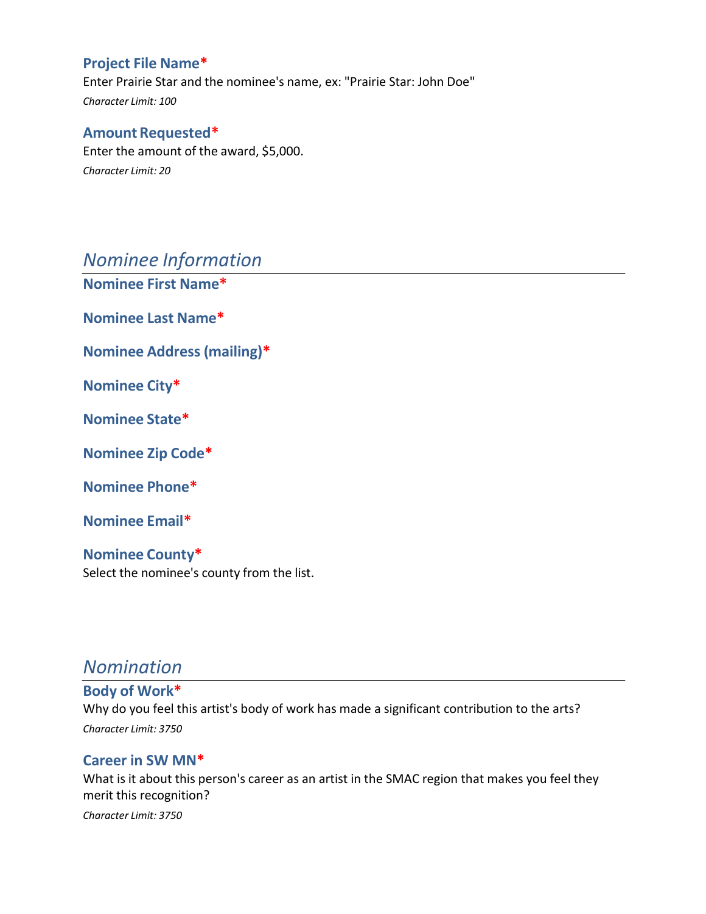### **Project File Name\***

Enter Prairie Star and the nominee's name, ex: "Prairie Star: John Doe" *Character Limit: 100*

### **Amount Requested\***

Enter the amount of the award, \$5,000. *Character Limit: 20*

### *Nominee Information*

**Nominee First Name\***

**Nominee Last Name\***

**Nominee Address (mailing)\***

**Nominee City\***

**Nominee State\***

**Nominee Zip Code\***

**Nominee Phone\***

**Nominee Email\***

**Nominee County\*** Select the nominee's county from the list.

### *Nomination*

**Body of Work\*** Why do you feel this artist's body of work has made a significant contribution to the arts? *Character Limit: 3750*

### **Career in SW MN\***

What is it about this person's career as an artist in the SMAC region that makes you feel they merit this recognition?

*Character Limit: 3750*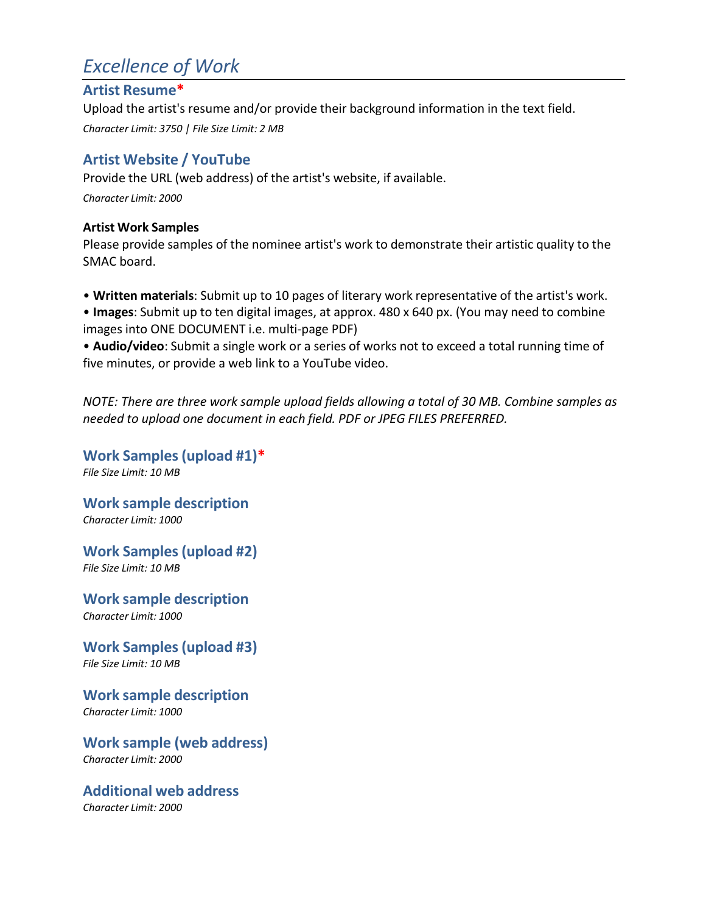# *Excellence of Work*

### **Artist Resume\***

Upload the artist's resume and/or provide their background information in the text field. *Character Limit: 3750 | File Size Limit: 2 MB*

### **Artist Website / YouTube**

Provide the URL (web address) of the artist's website, if available. *Character Limit: 2000*

### **Artist Work Samples**

Please provide samples of the nominee artist's work to demonstrate their artistic quality to the SMAC board.

• **Written materials**: Submit up to 10 pages of literary work representative of the artist's work.

• **Images**: Submit up to ten digital images, at approx. 480 x 640 px. (You may need to combine images into ONE DOCUMENT i.e. multi-page PDF)

• **Audio/video**: Submit a single work or a series of works not to exceed a total running time of five minutes, or provide a web link to a YouTube video.

*NOTE: There are three work sample upload fields allowing a total of 30 MB. Combine samples as needed to upload one document in each field. PDF or JPEG FILES PREFERRED.*

**Work Samples (upload #1)\*** *File Size Limit: 10 MB*

**Work sample description** *Character Limit: 1000*

**Work Samples (upload #2)** *File Size Limit: 10 MB*

**Work sample description** *Character Limit: 1000*

**Work Samples (upload #3)** *File Size Limit: 10 MB*

**Work sample description** *Character Limit: 1000*

**Work sample (web address)** *Character Limit: 2000*

**Additional web address** *Character Limit: 2000*